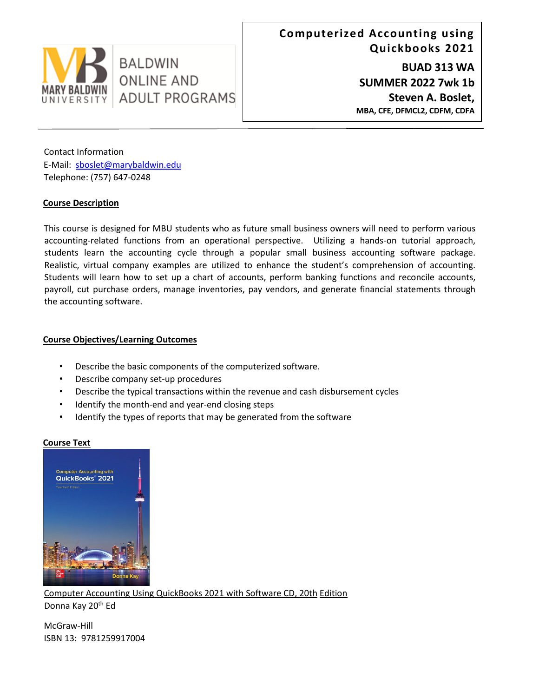

Contact Information E-Mail: sboslet@marybaldwin.edu Telephone: (757) 647-0248

**BALDWIN** 

**ONLINE AND** 

**ADULT PROGRAMS** 

### **Course Description**

This course is designed for MBU students who as future small business owners will need to perform various accounting-related functions from an operational perspective. Utilizing a hands-on tutorial approach, students learn the accounting cycle through a popular small business accounting software package. Realistic, virtual company examples are utilized to enhance the student's comprehension of accounting. Students will learn how to set up a chart of accounts, perform banking functions and reconcile accounts, payroll, cut purchase orders, manage inventories, pay vendors, and generate financial statements through the accounting software.

## **Course Objectives/Learning Outcomes**

- Describe the basic components of the computerized software.
- Describe company set-up procedures
- Describe the typical transactions within the revenue and cash disbursement cycles
- Identify the month-end and year-end closing steps
- Identify the types of reports that may be generated from the software

### **Course Text**



Computer Accounting Using QuickBooks 2021 with Software CD, 20th Edition Donna Kay 20<sup>th</sup> Ed

McGraw-Hill ISBN 13: 9781259917004